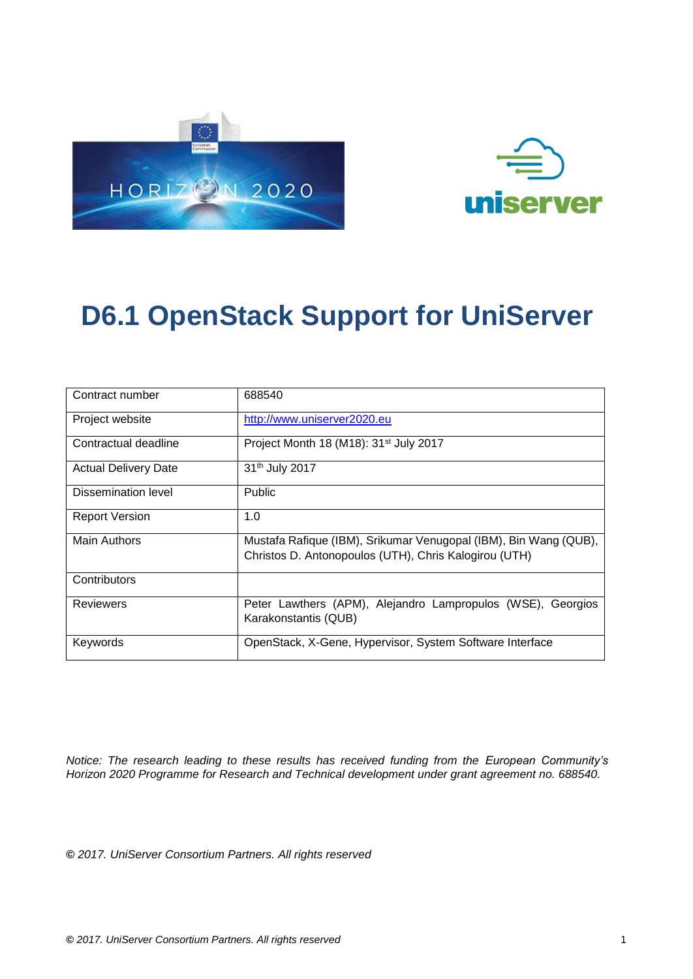



| Contract number             | 688540                                                                                                                    |
|-----------------------------|---------------------------------------------------------------------------------------------------------------------------|
| Project website             | http://www.uniserver2020.eu                                                                                               |
| Contractual deadline        | Project Month 18 (M18): 31 <sup>st</sup> July 2017                                                                        |
| <b>Actual Delivery Date</b> | 31 <sup>th</sup> July 2017                                                                                                |
| Dissemination level         | <b>Public</b>                                                                                                             |
| <b>Report Version</b>       | 1.0                                                                                                                       |
| <b>Main Authors</b>         | Mustafa Rafique (IBM), Srikumar Venugopal (IBM), Bin Wang (QUB),<br>Christos D. Antonopoulos (UTH), Chris Kalogirou (UTH) |
| Contributors                |                                                                                                                           |
| Reviewers                   | Peter Lawthers (APM), Alejandro Lampropulos (WSE),<br>Georgios<br>Karakonstantis (QUB)                                    |
| Keywords                    | OpenStack, X-Gene, Hypervisor, System Software Interface                                                                  |

*Notice: The research leading to these results has received funding from the European Community's Horizon 2020 Programme for Research and Technical development under grant agreement no. 688540.*

**©** *2017. UniServer Consortium Partners. All rights reserved*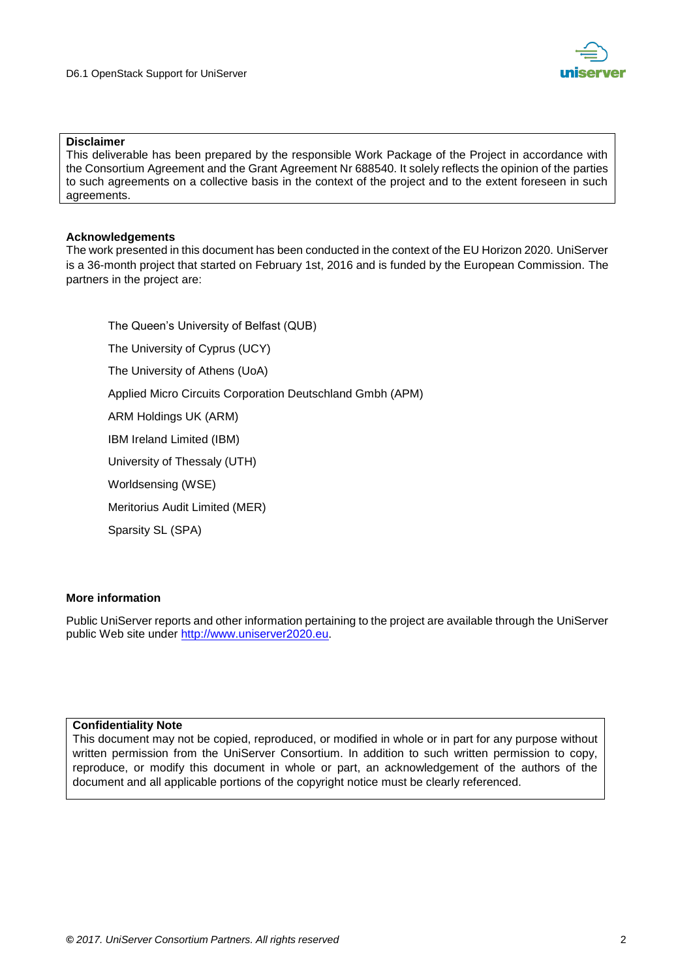

#### **Disclaimer**

This deliverable has been prepared by the responsible Work Package of the Project in accordance with the Consortium Agreement and the Grant Agreement Nr 688540. It solely reflects the opinion of the parties to such agreements on a collective basis in the context of the project and to the extent foreseen in such agreements.

#### **Acknowledgements**

The work presented in this document has been conducted in the context of the EU Horizon 2020. UniServer is a 36-month project that started on February 1st, 2016 and is funded by the European Commission. The partners in the project are:

The Queen's University of Belfast (QUB) The University of Cyprus (UCY) The University of Athens (UoA) Applied Micro Circuits Corporation Deutschland Gmbh (APM) ARM Holdings UK (ARM) IBM Ireland Limited (IBM) University of Thessaly (UTH) Worldsensing (WSE) Meritorius Audit Limited (MER) Sparsity SL (SPA)

#### **More information**

Public UniServer reports and other information pertaining to the project are available through the UniServer public Web site under [http://www.uniserver2020.eu](http://www.uniserver2020.eu/).

#### **Confidentiality Note**

This document may not be copied, reproduced, or modified in whole or in part for any purpose without written permission from the UniServer Consortium. In addition to such written permission to copy, reproduce, or modify this document in whole or part, an acknowledgement of the authors of the document and all applicable portions of the copyright notice must be clearly referenced.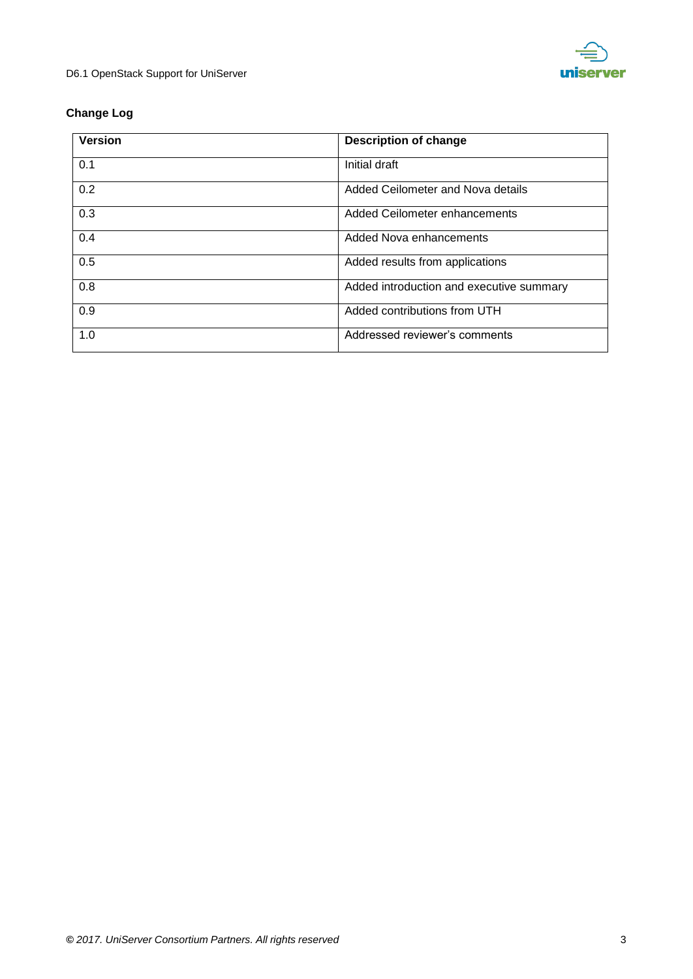

## **Change Log**

| <b>Version</b> | <b>Description of change</b>             |
|----------------|------------------------------------------|
| 0.1            | Initial draft                            |
| 0.2            | Added Ceilometer and Nova details        |
| 0.3            | Added Ceilometer enhancements            |
| 0.4            | Added Nova enhancements                  |
| 0.5            | Added results from applications          |
| 0.8            | Added introduction and executive summary |
| 0.9            | Added contributions from UTH             |
| 1.0            | Addressed reviewer's comments            |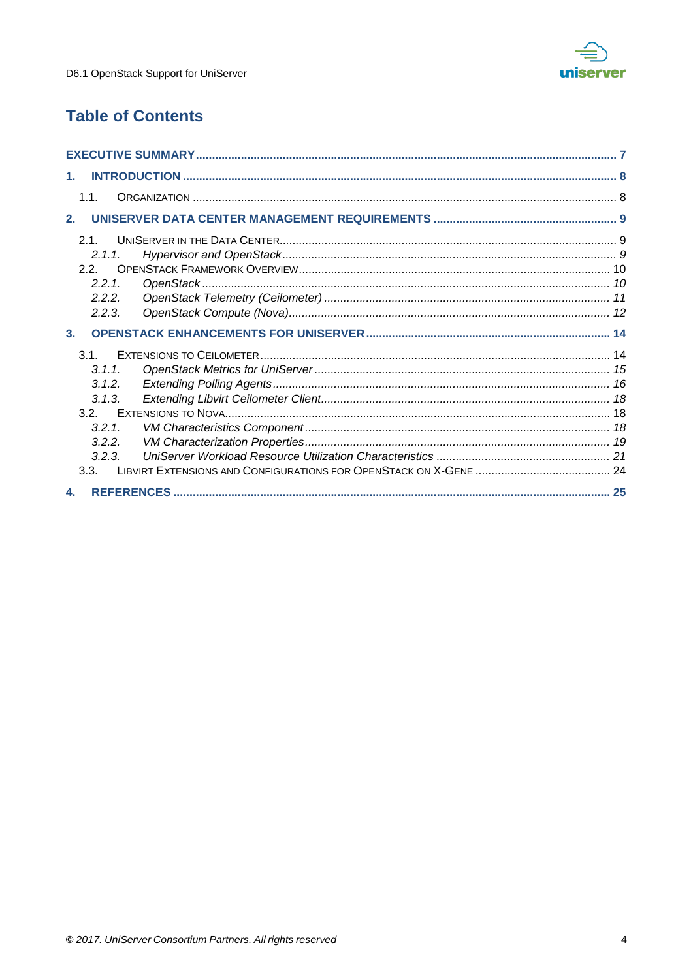

## **Table of Contents**

| $1_{-}$        |  |
|----------------|--|
| 1.1.           |  |
| 2.             |  |
| 21             |  |
| 2.1.1          |  |
| 22             |  |
| 2.2.1          |  |
| 2.2.2.         |  |
| 2.2.3.         |  |
| 3 <sub>1</sub> |  |
| $3.1$ .        |  |
| 3.1.1.         |  |
| 3.1.2.         |  |
| 3.1.3.         |  |
| 3.2.           |  |
| 3.2.1          |  |
| 3.2.2.         |  |
| 3.2.3.         |  |
| 3.3.           |  |
| 4.             |  |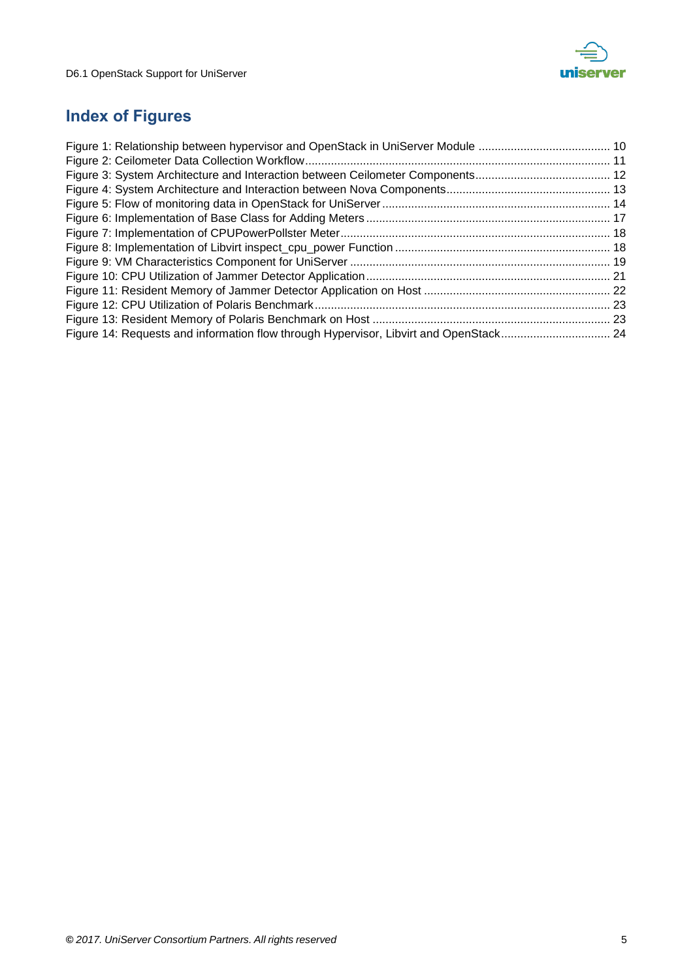

## **Index of Figures**

| Figure 14: Requests and information flow through Hypervisor, Libvirt and OpenStack 24 |  |
|---------------------------------------------------------------------------------------|--|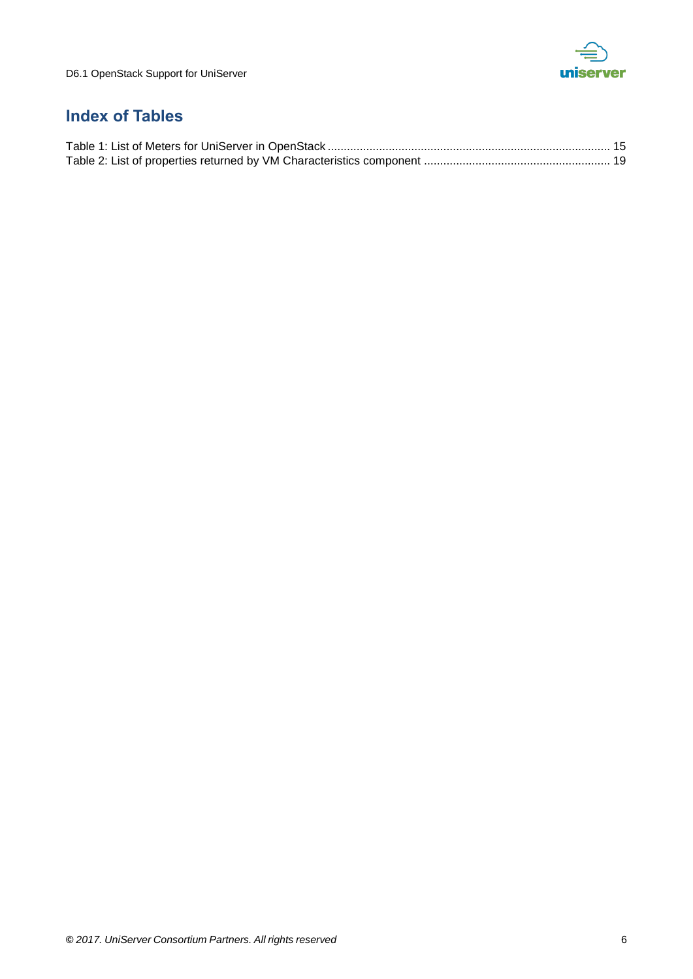

## **Index of Tables**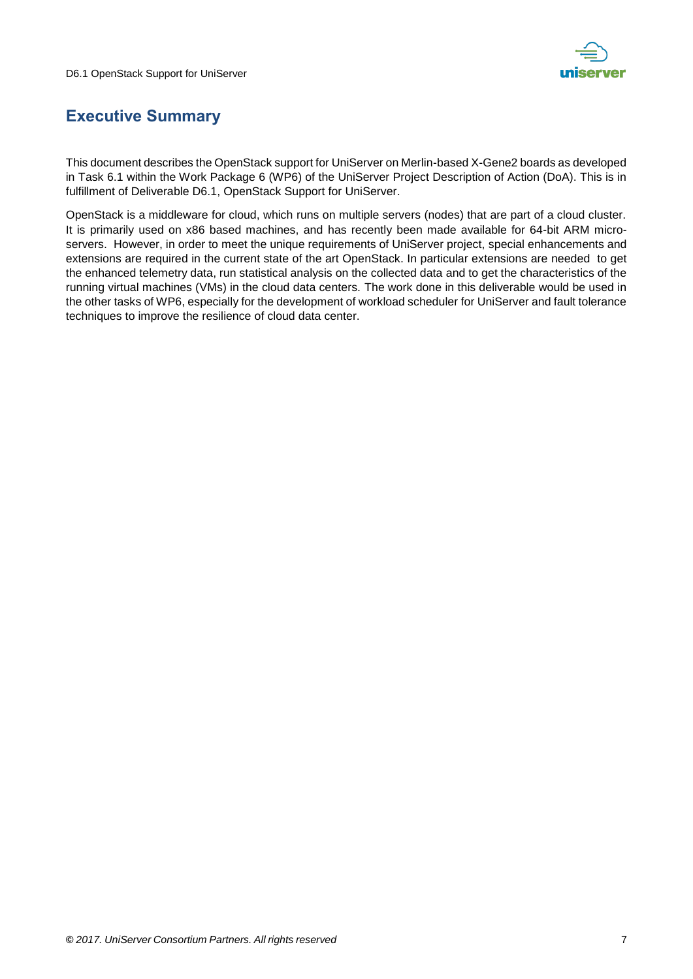

## <span id="page-6-0"></span>**Executive Summary**

This document describes the OpenStack support for UniServer on Merlin-based X-Gene2 boards as developed in Task 6.1 within the Work Package 6 (WP6) of the UniServer Project Description of Action (DoA). This is in fulfillment of Deliverable D6.1, OpenStack Support for UniServer.

OpenStack is a middleware for cloud, which runs on multiple servers (nodes) that are part of a cloud cluster. It is primarily used on x86 based machines, and has recently been made available for 64-bit ARM microservers. However, in order to meet the unique requirements of UniServer project, special enhancements and extensions are required in the current state of the art OpenStack. In particular extensions are needed to get the enhanced telemetry data, run statistical analysis on the collected data and to get the characteristics of the running virtual machines (VMs) in the cloud data centers. The work done in this deliverable would be used in the other tasks of WP6, especially for the development of workload scheduler for UniServer and fault tolerance techniques to improve the resilience of cloud data center.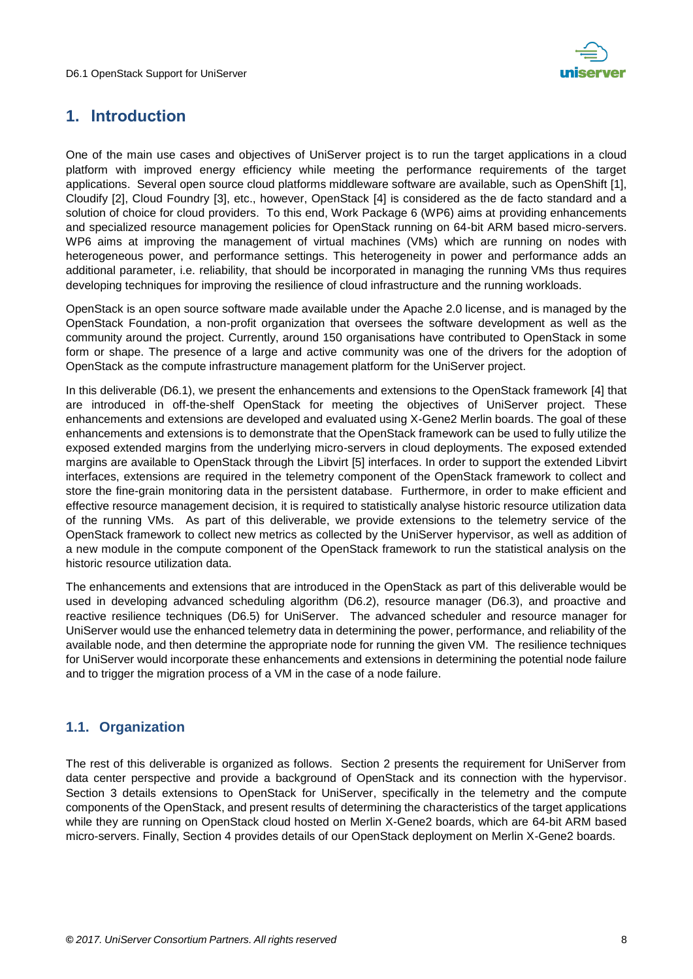

## <span id="page-7-0"></span>**1. Introduction**

One of the main use cases and objectives of UniServer project is to run the target applications in a cloud platform with improved energy efficiency while meeting the performance requirements of the target applications. Several open source cloud platforms middleware software are available, such as OpenShift [1], Cloudify [2], Cloud Foundry [3], etc., however, OpenStack [4] is considered as the de facto standard and a solution of choice for cloud providers. To this end, Work Package 6 (WP6) aims at providing enhancements and specialized resource management policies for OpenStack running on 64-bit ARM based micro-servers. WP6 aims at improving the management of virtual machines (VMs) which are running on nodes with heterogeneous power, and performance settings. This heterogeneity in power and performance adds an additional parameter, i.e. reliability, that should be incorporated in managing the running VMs thus requires developing techniques for improving the resilience of cloud infrastructure and the running workloads.

OpenStack is an open source software made available under the Apache 2.0 license, and is managed by the OpenStack Foundation, a non-profit organization that oversees the software development as well as the community around the project. Currently, around 150 organisations have contributed to OpenStack in some form or shape. The presence of a large and active community was one of the drivers for the adoption of OpenStack as the compute infrastructure management platform for the UniServer project.

In this deliverable (D6.1), we present the enhancements and extensions to the OpenStack framework [4] that are introduced in off-the-shelf OpenStack for meeting the objectives of UniServer project. These enhancements and extensions are developed and evaluated using X-Gene2 Merlin boards. The goal of these enhancements and extensions is to demonstrate that the OpenStack framework can be used to fully utilize the exposed extended margins from the underlying micro-servers in cloud deployments. The exposed extended margins are available to OpenStack through the Libvirt [5] interfaces. In order to support the extended Libvirt interfaces, extensions are required in the telemetry component of the OpenStack framework to collect and store the fine-grain monitoring data in the persistent database. Furthermore, in order to make efficient and effective resource management decision, it is required to statistically analyse historic resource utilization data of the running VMs. As part of this deliverable, we provide extensions to the telemetry service of the OpenStack framework to collect new metrics as collected by the UniServer hypervisor, as well as addition of a new module in the compute component of the OpenStack framework to run the statistical analysis on the historic resource utilization data.

The enhancements and extensions that are introduced in the OpenStack as part of this deliverable would be used in developing advanced scheduling algorithm (D6.2), resource manager (D6.3), and proactive and reactive resilience techniques (D6.5) for UniServer. The advanced scheduler and resource manager for UniServer would use the enhanced telemetry data in determining the power, performance, and reliability of the available node, and then determine the appropriate node for running the given VM. The resilience techniques for UniServer would incorporate these enhancements and extensions in determining the potential node failure and to trigger the migration process of a VM in the case of a node failure.

#### <span id="page-7-1"></span>**1.1. Organization**

The rest of this deliverable is organized as follows. Section 2 presents the requirement for UniServer from data center perspective and provide a background of OpenStack and its connection with the hypervisor. Section 3 details extensions to OpenStack for UniServer, specifically in the telemetry and the compute components of the OpenStack, and present results of determining the characteristics of the target applications while they are running on OpenStack cloud hosted on Merlin X-Gene2 boards, which are 64-bit ARM based micro-servers. Finally, Section 4 provides details of our OpenStack deployment on Merlin X-Gene2 boards.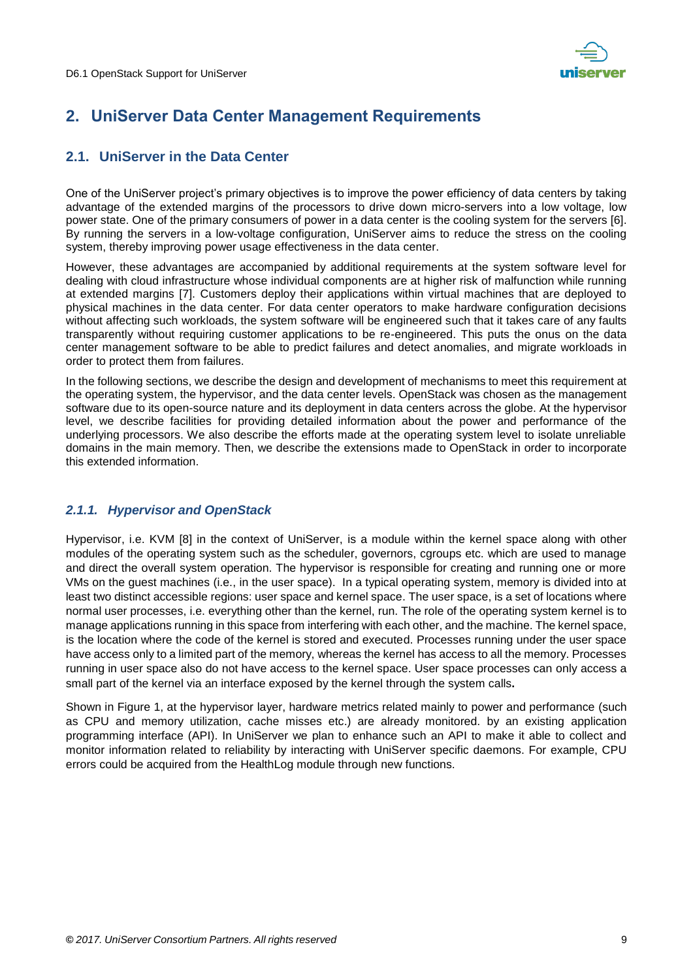

## <span id="page-8-0"></span>**2. UniServer Data Center Management Requirements**

#### <span id="page-8-1"></span>**2.1. UniServer in the Data Center**

One of the UniServer project's primary objectives is to improve the power efficiency of data centers by taking advantage of the extended margins of the processors to drive down micro-servers into a low voltage, low power state. One of the primary consumers of power in a data center is the cooling system for the servers [6]. By running the servers in a low-voltage configuration, UniServer aims to reduce the stress on the cooling system, thereby improving power usage effectiveness in the data center.

However, these advantages are accompanied by additional requirements at the system software level for dealing with cloud infrastructure whose individual components are at higher risk of malfunction while running at extended margins [7]. Customers deploy their applications within virtual machines that are deployed to physical machines in the data center. For data center operators to make hardware configuration decisions without affecting such workloads, the system software will be engineered such that it takes care of any faults transparently without requiring customer applications to be re-engineered. This puts the onus on the data center management software to be able to predict failures and detect anomalies, and migrate workloads in order to protect them from failures.

In the following sections, we describe the design and development of mechanisms to meet this requirement at the operating system, the hypervisor, and the data center levels. OpenStack was chosen as the management software due to its open-source nature and its deployment in data centers across the globe. At the hypervisor level, we describe facilities for providing detailed information about the power and performance of the underlying processors. We also describe the efforts made at the operating system level to isolate unreliable domains in the main memory. Then, we describe the extensions made to OpenStack in order to incorporate this extended information.

#### <span id="page-8-2"></span>*2.1.1. Hypervisor and OpenStack*

Hypervisor, i.e. KVM [8] in the context of UniServer, is a module within the kernel space along with other modules of the operating system such as the scheduler, governors, cgroups etc. which are used to manage and direct the overall system operation. The hypervisor is responsible for creating and running one or more VMs on the guest machines (i.e., in the user space). In a typical operating system, memory is divided into at least two distinct accessible regions: user space and kernel space. The user space, is a set of locations where normal user processes, i.e. everything other than the kernel, run. The role of the operating system kernel is to manage applications running in this space from interfering with each other, and the machine. The kernel space, is the location where the code of the kernel is stored and executed. Processes running under the user space have access only to a limited part of the memory, whereas the kernel has access to all the memory. Processes running in user space also do not have access to the kernel space. User space processes can only access a small part of the kernel via an interface exposed by the kernel through the system calls**.**

Shown in [Figure 1,](#page-9-2) at the hypervisor layer, hardware metrics related mainly to power and performance (such as CPU and memory utilization, cache misses etc.) are already monitored. by an existing application programming interface (API). In UniServer we plan to enhance such an API to make it able to collect and monitor information related to reliability by interacting with UniServer specific daemons. For example, CPU errors could be acquired from the HealthLog module through new functions.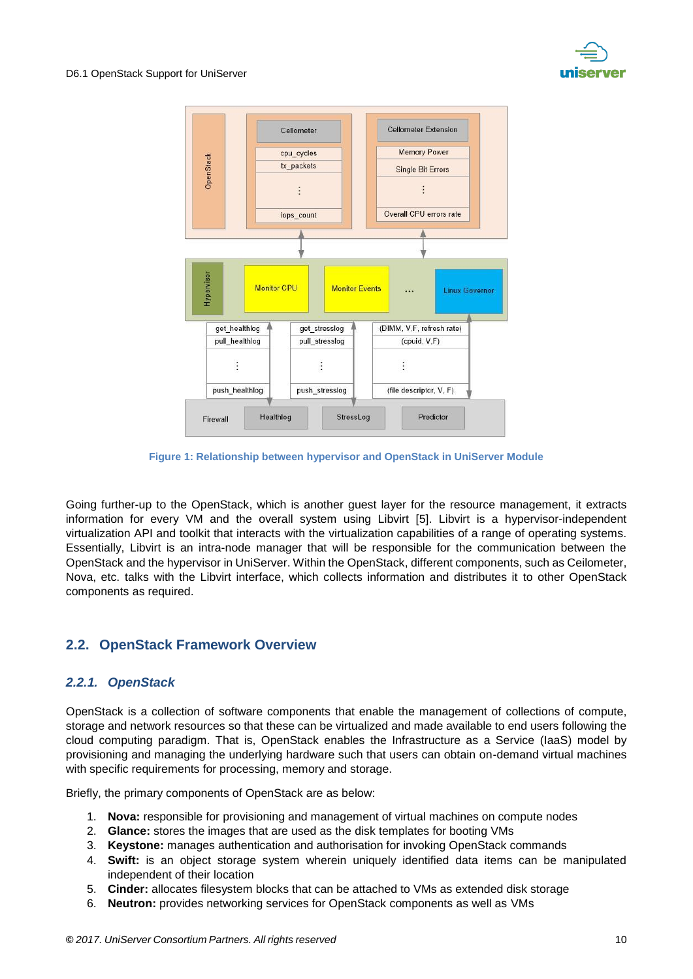



**Figure 1: Relationship between hypervisor and OpenStack in UniServer Module**

<span id="page-9-2"></span>Going further-up to the OpenStack, which is another guest layer for the resource management, it extracts information for every VM and the overall system using Libvirt [5]. Libvirt is a hypervisor-independent virtualization API and toolkit that interacts with the virtualization capabilities of a range of operating systems. Essentially, Libvirt is an intra-node manager that will be responsible for the communication between the OpenStack and the hypervisor in UniServer. Within the OpenStack, different components, such as Ceilometer, Nova, etc. talks with the Libvirt interface, which collects information and distributes it to other OpenStack components as required.

#### <span id="page-9-0"></span>**2.2. OpenStack Framework Overview**

#### <span id="page-9-1"></span>*2.2.1. OpenStack*

OpenStack is a collection of software components that enable the management of collections of compute, storage and network resources so that these can be virtualized and made available to end users following the cloud computing paradigm. That is, OpenStack enables the Infrastructure as a Service (IaaS) model by provisioning and managing the underlying hardware such that users can obtain on-demand virtual machines with specific requirements for processing, memory and storage.

Briefly, the primary components of OpenStack are as below:

- 1. **Nova:** responsible for provisioning and management of virtual machines on compute nodes
- 2. **Glance:** stores the images that are used as the disk templates for booting VMs
- 3. **Keystone:** manages authentication and authorisation for invoking OpenStack commands
- 4. **Swift:** is an object storage system wherein uniquely identified data items can be manipulated independent of their location
- 5. **Cinder:** allocates filesystem blocks that can be attached to VMs as extended disk storage
- 6. **Neutron:** provides networking services for OpenStack components as well as VMs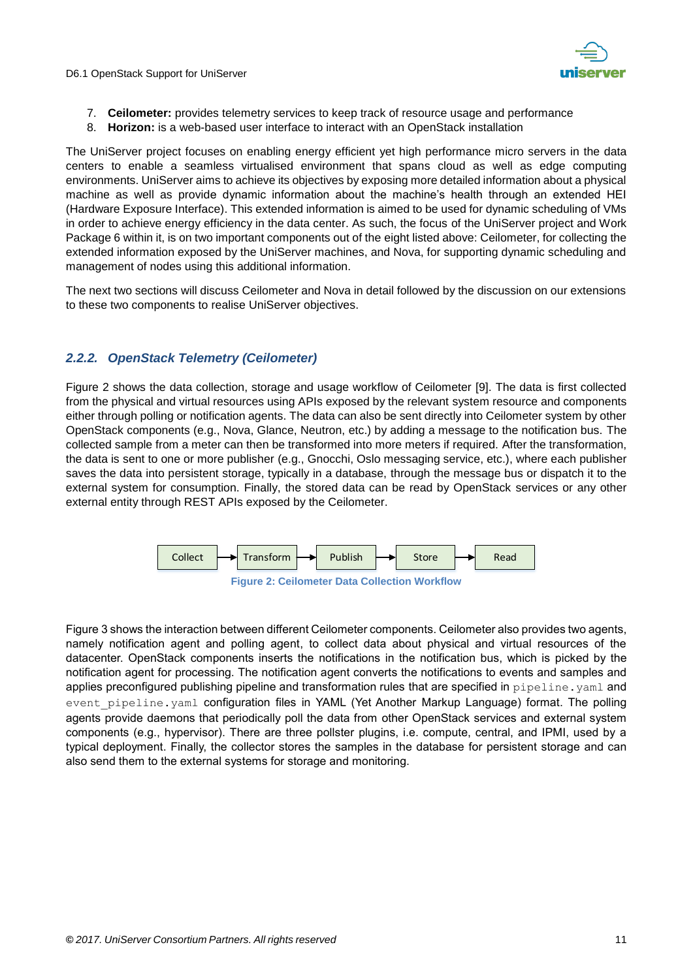

- 7. **Ceilometer:** provides telemetry services to keep track of resource usage and performance
- 8. **Horizon:** is a web-based user interface to interact with an OpenStack installation

The UniServer project focuses on enabling energy efficient yet high performance micro servers in the data centers to enable a seamless virtualised environment that spans cloud as well as edge computing environments. UniServer aims to achieve its objectives by exposing more detailed information about a physical machine as well as provide dynamic information about the machine's health through an extended HEI (Hardware Exposure Interface). This extended information is aimed to be used for dynamic scheduling of VMs in order to achieve energy efficiency in the data center. As such, the focus of the UniServer project and Work Package 6 within it, is on two important components out of the eight listed above: Ceilometer, for collecting the extended information exposed by the UniServer machines, and Nova, for supporting dynamic scheduling and management of nodes using this additional information.

The next two sections will discuss Ceilometer and Nova in detail followed by the discussion on our extensions to these two components to realise UniServer objectives.

#### <span id="page-10-0"></span>*2.2.2. OpenStack Telemetry (Ceilometer)*

[Figure 2](#page-10-1) shows the data collection, storage and usage workflow of Ceilometer [9]. The data is first collected from the physical and virtual resources using APIs exposed by the relevant system resource and components either through polling or notification agents. The data can also be sent directly into Ceilometer system by other OpenStack components (e.g., Nova, Glance, Neutron, etc.) by adding a message to the notification bus. The collected sample from a meter can then be transformed into more meters if required. After the transformation, the data is sent to one or more publisher (e.g., Gnocchi, Oslo messaging service, etc.), where each publisher saves the data into persistent storage, typically in a database, through the message bus or dispatch it to the external system for consumption. Finally, the stored data can be read by OpenStack services or any other external entity through REST APIs exposed by the Ceilometer.



<span id="page-10-1"></span>[Figure 3](#page-11-1) shows the interaction between different Ceilometer components. Ceilometer also provides two agents, namely notification agent and polling agent, to collect data about physical and virtual resources of the datacenter. OpenStack components inserts the notifications in the notification bus, which is picked by the notification agent for processing. The notification agent converts the notifications to events and samples and applies preconfigured publishing pipeline and transformation rules that are specified in pipeline. yaml and event pipeline.yaml configuration files in YAML (Yet Another Markup Language) format. The polling agents provide daemons that periodically poll the data from other OpenStack services and external system components (e.g., hypervisor). There are three pollster plugins, i.e. compute, central, and IPMI, used by a typical deployment. Finally, the collector stores the samples in the database for persistent storage and can also send them to the external systems for storage and monitoring.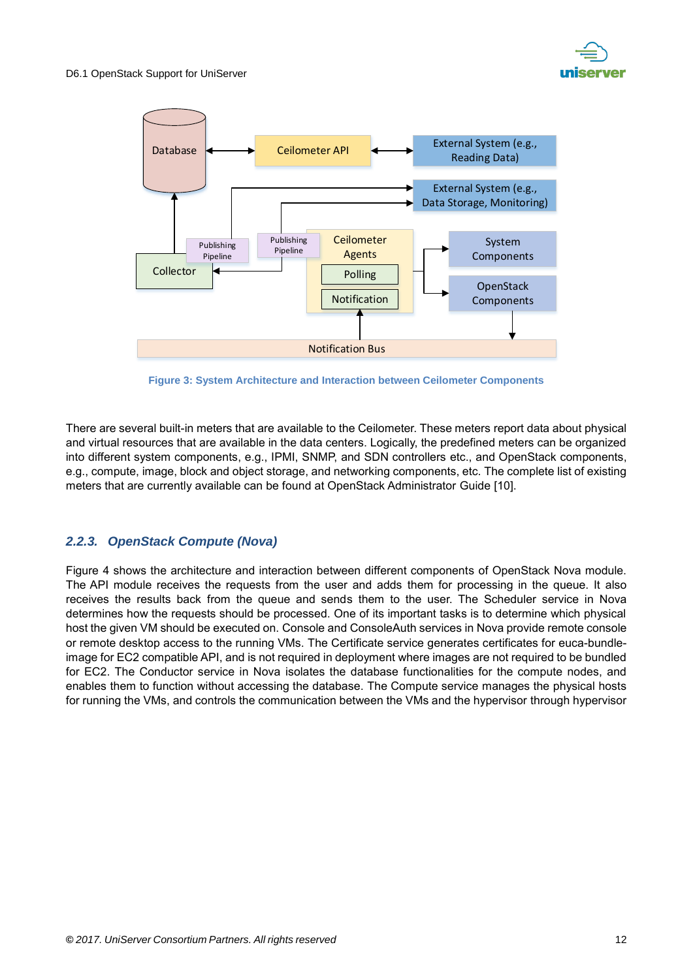



**Figure 3: System Architecture and Interaction between Ceilometer Components**

<span id="page-11-1"></span>There are several built-in meters that are available to the Ceilometer. These meters report data about physical and virtual resources that are available in the data centers. Logically, the predefined meters can be organized into different system components, e.g., IPMI, SNMP, and SDN controllers etc., and OpenStack components, e.g., compute, image, block and object storage, and networking components, etc. The complete list of existing meters that are currently available can be found at OpenStack Administrator Guide [10].

#### <span id="page-11-0"></span>*2.2.3. OpenStack Compute (Nova)*

[Figure 4](#page-12-0) shows the architecture and interaction between different components of OpenStack Nova module. The API module receives the requests from the user and adds them for processing in the queue. It also receives the results back from the queue and sends them to the user. The Scheduler service in Nova determines how the requests should be processed. One of its important tasks is to determine which physical host the given VM should be executed on. Console and ConsoleAuth services in Nova provide remote console or remote desktop access to the running VMs. The Certificate service generates certificates for euca-bundleimage for EC2 compatible API, and is not required in deployment where images are not required to be bundled for EC2. The Conductor service in Nova isolates the database functionalities for the compute nodes, and enables them to function without accessing the database. The Compute service manages the physical hosts for running the VMs, and controls the communication between the VMs and the hypervisor through hypervisor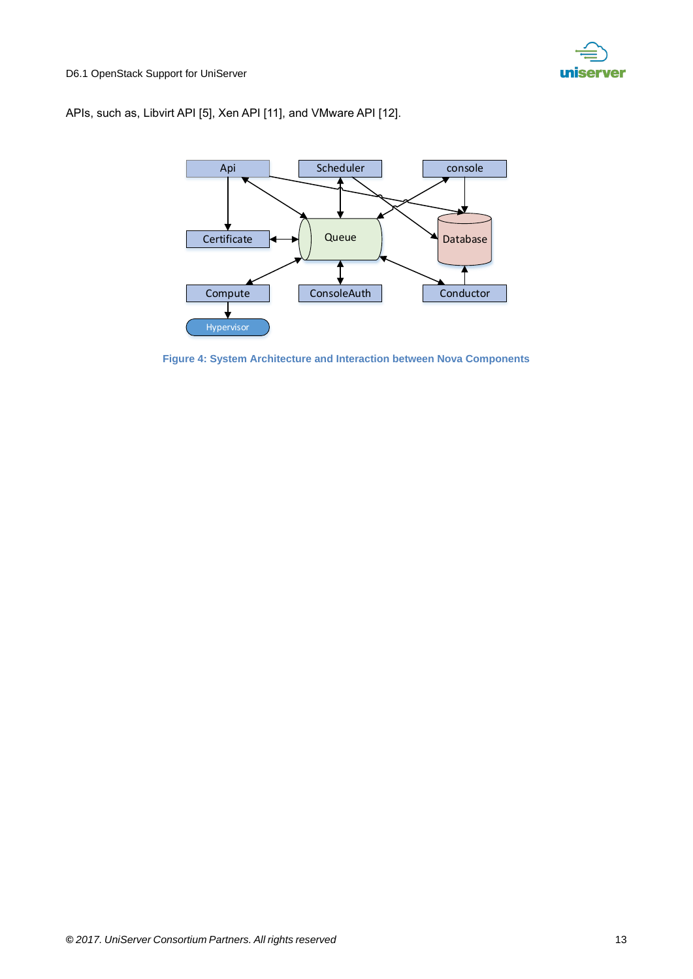

#### APIs, such as, Libvirt API [5], Xen API [11], and VMware API [12].



<span id="page-12-0"></span>**Figure 4: System Architecture and Interaction between Nova Components**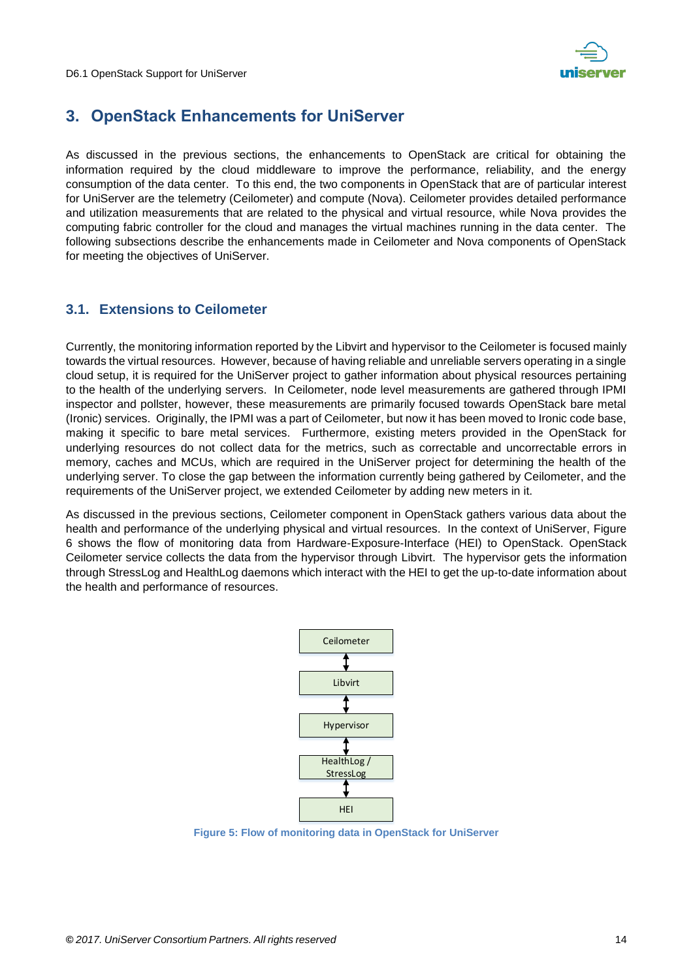

## <span id="page-13-0"></span>**3. OpenStack Enhancements for UniServer**

As discussed in the previous sections, the enhancements to OpenStack are critical for obtaining the information required by the cloud middleware to improve the performance, reliability, and the energy consumption of the data center. To this end, the two components in OpenStack that are of particular interest for UniServer are the telemetry (Ceilometer) and compute (Nova). Ceilometer provides detailed performance and utilization measurements that are related to the physical and virtual resource, while Nova provides the computing fabric controller for the cloud and manages the virtual machines running in the data center. The following subsections describe the enhancements made in Ceilometer and Nova components of OpenStack for meeting the objectives of UniServer.

#### <span id="page-13-1"></span>**3.1. Extensions to Ceilometer**

Currently, the monitoring information reported by the Libvirt and hypervisor to the Ceilometer is focused mainly towards the virtual resources. However, because of having reliable and unreliable servers operating in a single cloud setup, it is required for the UniServer project to gather information about physical resources pertaining to the health of the underlying servers. In Ceilometer, node level measurements are gathered through IPMI inspector and pollster, however, these measurements are primarily focused towards OpenStack bare metal (Ironic) services. Originally, the IPMI was a part of Ceilometer, but now it has been moved to Ironic code base, making it specific to bare metal services. Furthermore, existing meters provided in the OpenStack for underlying resources do not collect data for the metrics, such as correctable and uncorrectable errors in memory, caches and MCUs, which are required in the UniServer project for determining the health of the underlying server. To close the gap between the information currently being gathered by Ceilometer, and the requirements of the UniServer project, we extended Ceilometer by adding new meters in it.

As discussed in the previous sections, Ceilometer component in OpenStack gathers various data about the health and performance of the underlying physical and virtual resources. In the context of UniServer, [Figure](#page-16-0)  [6](#page-16-0) shows the flow of monitoring data from Hardware-Exposure-Interface (HEI) to OpenStack. OpenStack Ceilometer service collects the data from the hypervisor through Libvirt. The hypervisor gets the information through StressLog and HealthLog daemons which interact with the HEI to get the up-to-date information about the health and performance of resources.



<span id="page-13-2"></span>**Figure 5: Flow of monitoring data in OpenStack for UniServer**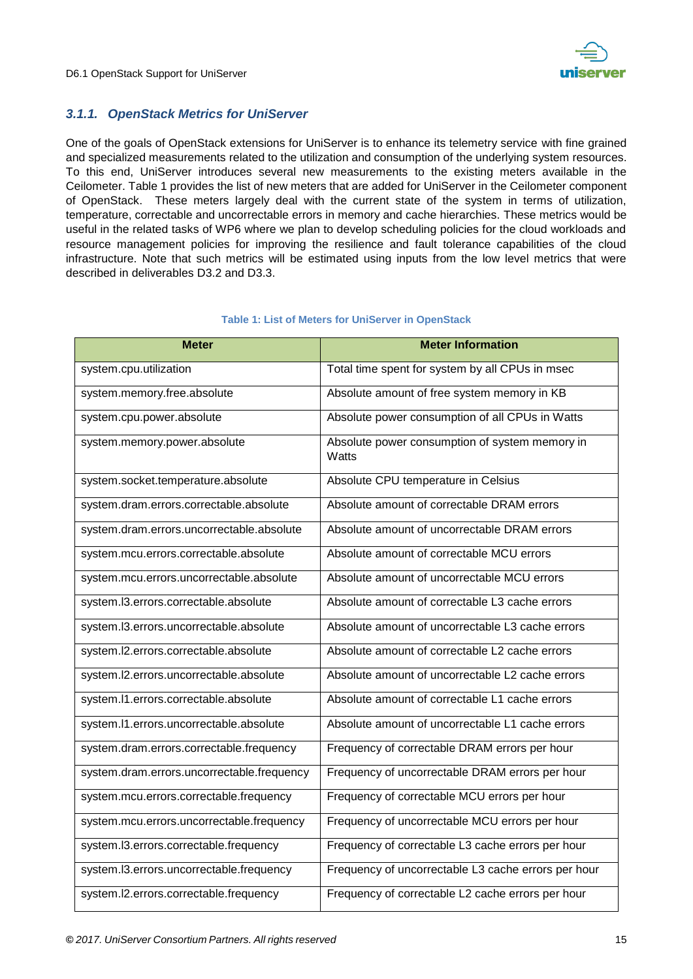

#### <span id="page-14-0"></span>*3.1.1. OpenStack Metrics for UniServer*

One of the goals of OpenStack extensions for UniServer is to enhance its telemetry service with fine grained and specialized measurements related to the utilization and consumption of the underlying system resources. To this end, UniServer introduces several new measurements to the existing meters available in the Ceilometer. [Table 1](#page-14-1) provides the list of new meters that are added for UniServer in the Ceilometer component of OpenStack. These meters largely deal with the current state of the system in terms of utilization, temperature, correctable and uncorrectable errors in memory and cache hierarchies. These metrics would be useful in the related tasks of WP6 where we plan to develop scheduling policies for the cloud workloads and resource management policies for improving the resilience and fault tolerance capabilities of the cloud infrastructure. Note that such metrics will be estimated using inputs from the low level metrics that were described in deliverables D3.2 and D3.3.

<span id="page-14-1"></span>

| <b>Meter</b>                               | <b>Meter Information</b>                                |
|--------------------------------------------|---------------------------------------------------------|
| system.cpu.utilization                     | Total time spent for system by all CPUs in msec         |
| system.memory.free.absolute                | Absolute amount of free system memory in KB             |
| system.cpu.power.absolute                  | Absolute power consumption of all CPUs in Watts         |
| system.memory.power.absolute               | Absolute power consumption of system memory in<br>Watts |
| system.socket.temperature.absolute         | Absolute CPU temperature in Celsius                     |
| system.dram.errors.correctable.absolute    | Absolute amount of correctable DRAM errors              |
| system.dram.errors.uncorrectable.absolute  | Absolute amount of uncorrectable DRAM errors            |
| system.mcu.errors.correctable.absolute     | Absolute amount of correctable MCU errors               |
| system.mcu.errors.uncorrectable.absolute   | Absolute amount of uncorrectable MCU errors             |
| system.I3.errors.correctable.absolute      | Absolute amount of correctable L3 cache errors          |
| system.I3.errors.uncorrectable.absolute    | Absolute amount of uncorrectable L3 cache errors        |
| system.l2.errors.correctable.absolute      | Absolute amount of correctable L2 cache errors          |
| system.I2.errors.uncorrectable.absolute    | Absolute amount of uncorrectable L2 cache errors        |
| system.l1.errors.correctable.absolute      | Absolute amount of correctable L1 cache errors          |
| system.l1.errors.uncorrectable.absolute    | Absolute amount of uncorrectable L1 cache errors        |
| system.dram.errors.correctable.frequency   | Frequency of correctable DRAM errors per hour           |
| system.dram.errors.uncorrectable.frequency | Frequency of uncorrectable DRAM errors per hour         |
| system.mcu.errors.correctable.frequency    | Frequency of correctable MCU errors per hour            |
| system.mcu.errors.uncorrectable.frequency  | Frequency of uncorrectable MCU errors per hour          |
| system.I3.errors.correctable.frequency     | Frequency of correctable L3 cache errors per hour       |
| system.l3.errors.uncorrectable.frequency   | Frequency of uncorrectable L3 cache errors per hour     |
| system.I2.errors.correctable.frequency     | Frequency of correctable L2 cache errors per hour       |

#### **Table 1: List of Meters for UniServer in OpenStack**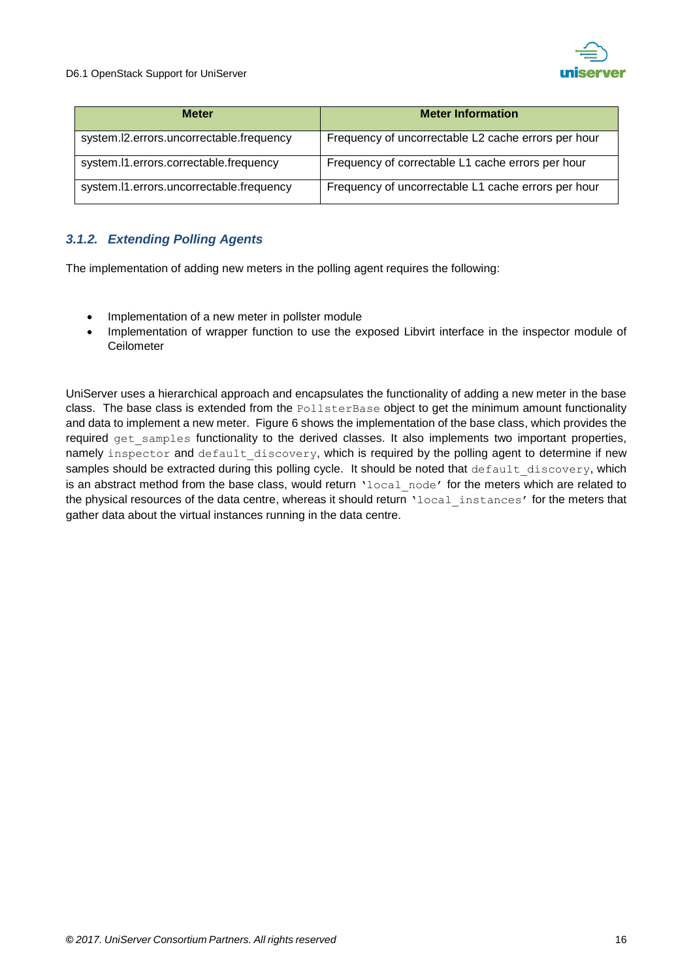

| <b>Meter</b>                             | <b>Meter Information</b>                            |
|------------------------------------------|-----------------------------------------------------|
| system.I2.errors.uncorrectable.frequency | Frequency of uncorrectable L2 cache errors per hour |
| system.l1.errors.correctable.frequency   | Frequency of correctable L1 cache errors per hour   |
| system.I1.errors.uncorrectable.frequency | Frequency of uncorrectable L1 cache errors per hour |

#### <span id="page-15-0"></span>*3.1.2. Extending Polling Agents*

The implementation of adding new meters in the polling agent requires the following:

- Implementation of a new meter in pollster module
- Implementation of wrapper function to use the exposed Libvirt interface in the inspector module of **Ceilometer**

UniServer uses a hierarchical approach and encapsulates the functionality of adding a new meter in the base class. The base class is extended from the PollsterBase object to get the minimum amount functionality and data to implement a new meter. [Figure 6](#page-16-0) shows the implementation of the base class, which provides the required get samples functionality to the derived classes. It also implements two important properties, namely inspector and default discovery, which is required by the polling agent to determine if new samples should be extracted during this polling cycle. It should be noted that default discovery, which is an abstract method from the base class, would return 'local node' for the meters which are related to the physical resources of the data centre, whereas it should return 'local instances' for the meters that gather data about the virtual instances running in the data centre.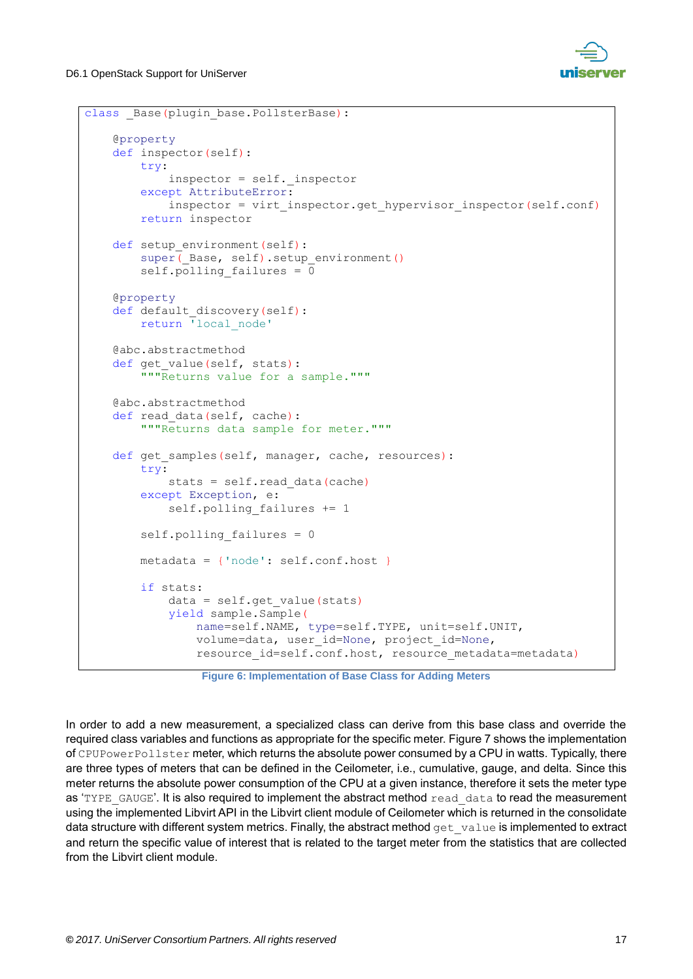

```
class _Base(plugin_base.PollsterBase):
  @property
  def inspector(self):
      try:
          inspector = self._inspector
      except AttributeError:
         inspector = virt inspector.get hypervisor inspector(self.conf)
      return inspector
 def setup environment(self):
     super( Base, self).setup environment()
     self.polling failures = 0
  @property
 def default discovery(self):
      return 'local_node'
  @abc.abstractmethod
 def get value(self, stats):
      """Returns value for a sample."""
  @abc.abstractmethod
 def read data(self, cache):
      """Returns data sample for meter."""
 def get samples(self, manager, cache, resources):
      try:
         stats = self.read data(cache)
      except Exception, e:
         self.polling failures += 1
     self.polling failures = 0
      metadata = {'node': self.conf.host }
      if stats:
          data = self.get_value(stats)
          yield sample.Sample(
              name=self.NAME, type=self.TYPE, unit=self.UNIT,
              volume=data, user_id=None, project_id=None,
             resource id=self.conf.host, resource metadata=metadata)
```
**Figure 6: Implementation of Base Class for Adding Meters**

<span id="page-16-0"></span>In order to add a new measurement, a specialized class can derive from this base class and override the required class variables and functions as appropriate for the specific meter. [Figure 7](#page-17-3) shows the implementation of CPUPowerPollster meter, which returns the absolute power consumed by a CPU in watts. Typically, there are three types of meters that can be defined in the Ceilometer, i.e., cumulative, gauge, and delta. Since this meter returns the absolute power consumption of the CPU at a given instance, therefore it sets the meter type as 'TYPE\_GAUGE'. It is also required to implement the abstract method read\_data to read the measurement using the implemented Libvirt API in the Libvirt client module of Ceilometer which is returned in the consolidate data structure with different system metrics. Finally, the abstract method get value is implemented to extract and return the specific value of interest that is related to the target meter from the statistics that are collected from the Libvirt client module.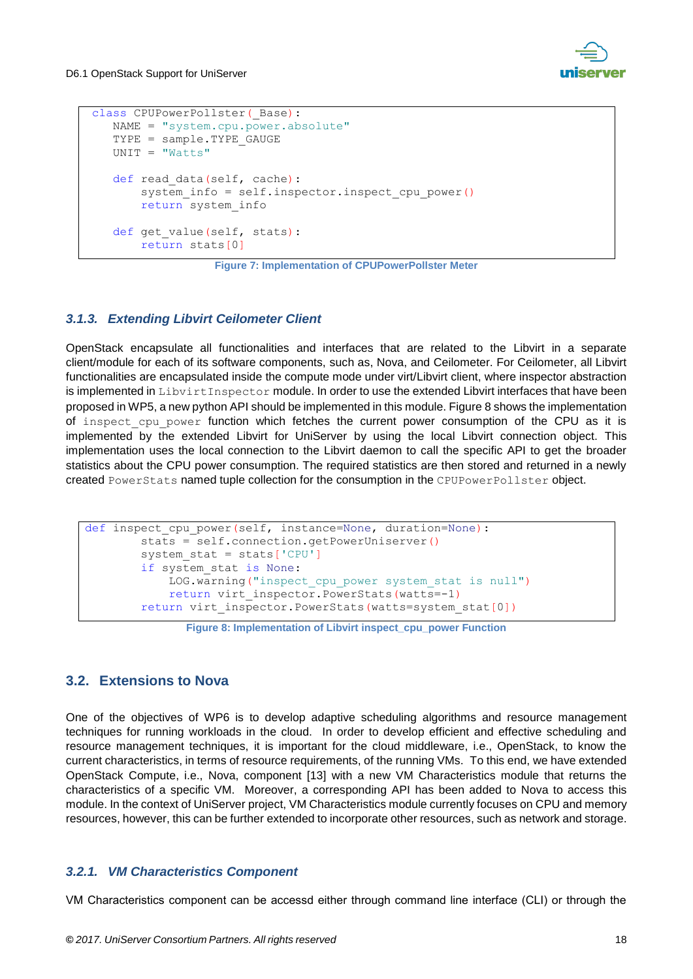

```
class CPUPowerPollster ( Base) :
NAME = "system.cpu.power.absolute"
TYPE = sample.TYPE GAUGE
UNIT = "Watts"
def read data(self, cache):
    system info = self.inspector.inspect cpu power()
     return system_info
def get value(self, stats):
     return stats[0]
```
**Figure 7: Implementation of CPUPowerPollster Meter**

#### <span id="page-17-3"></span><span id="page-17-0"></span>*3.1.3. Extending Libvirt Ceilometer Client*

OpenStack encapsulate all functionalities and interfaces that are related to the Libvirt in a separate client/module for each of its software components, such as, Nova, and Ceilometer. For Ceilometer, all Libvirt functionalities are encapsulated inside the compute mode under virt/Libvirt client, where inspector abstraction is implemented in LibvirtInspector module. In order to use the extended Libvirt interfaces that have been proposed in WP5, a new python API should be implemented in this module. [Figure 8](#page-17-4) shows the implementation of inspect cpu power function which fetches the current power consumption of the CPU as it is implemented by the extended Libvirt for UniServer by using the local Libvirt connection object. This implementation uses the local connection to the Libvirt daemon to call the specific API to get the broader statistics about the CPU power consumption. The required statistics are then stored and returned in a newly created PowerStats named tuple collection for the consumption in the CPUPowerPollster object.

```
def inspect cpu power(self, instance=None, duration=None):
      stats = self.connection.getPowerUniserver()
      system_stat = stats['CPU']
      if system_stat is None:
          LOG.warning("inspect_cpu_power system_stat is null")
          return virt_inspector.PowerStats(watts=-1)
     return virt inspector. PowerStats (watts=system_stat[0])
```
#### **Figure 8: Implementation of Libvirt inspect\_cpu\_power Function**

#### <span id="page-17-4"></span><span id="page-17-1"></span>**3.2. Extensions to Nova**

One of the objectives of WP6 is to develop adaptive scheduling algorithms and resource management techniques for running workloads in the cloud. In order to develop efficient and effective scheduling and resource management techniques, it is important for the cloud middleware, i.e., OpenStack, to know the current characteristics, in terms of resource requirements, of the running VMs. To this end, we have extended OpenStack Compute, i.e., Nova, component [13] with a new VM Characteristics module that returns the characteristics of a specific VM. Moreover, a corresponding API has been added to Nova to access this module. In the context of UniServer project, VM Characteristics module currently focuses on CPU and memory resources, however, this can be further extended to incorporate other resources, such as network and storage.

#### <span id="page-17-2"></span>*3.2.1. VM Characteristics Component*

VM Characteristics component can be accessd either through command line interface (CLI) or through the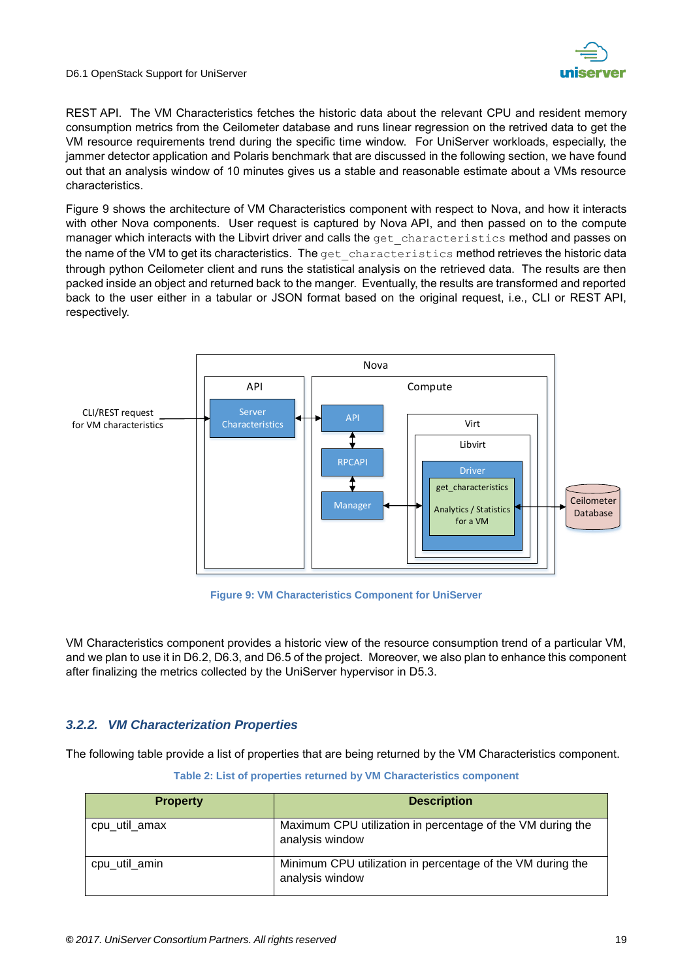

REST API. The VM Characteristics fetches the historic data about the relevant CPU and resident memory consumption metrics from the Ceilometer database and runs linear regression on the retrived data to get the VM resource requirements trend during the specific time window. For UniServer workloads, especially, the jammer detector application and Polaris benchmark that are discussed in the following section, we have found out that an analysis window of 10 minutes gives us a stable and reasonable estimate about a VMs resource characteristics.

[Figure 9](#page-18-1) shows the architecture of VM Characteristics component with respect to Nova, and how it interacts with other Nova components. User request is captured by Nova API, and then passed on to the compute manager which interacts with the Libvirt driver and calls the get characteristics method and passes on the name of the VM to get its characteristics. The get characteristics method retrieves the historic data through python Ceilometer client and runs the statistical analysis on the retrieved data. The results are then packed inside an object and returned back to the manger. Eventually, the results are transformed and reported back to the user either in a tabular or JSON format based on the original request, i.e., CLI or REST API, respectively.



**Figure 9: VM Characteristics Component for UniServer**

<span id="page-18-1"></span>VM Characteristics component provides a historic view of the resource consumption trend of a particular VM, and we plan to use it in D6.2, D6.3, and D6.5 of the project. Moreover, we also plan to enhance this component after finalizing the metrics collected by the UniServer hypervisor in D5.3.

#### <span id="page-18-0"></span>*3.2.2. VM Characterization Properties*

<span id="page-18-2"></span>The following table provide a list of properties that are being returned by the VM Characteristics component.

| <b>Property</b> | <b>Description</b>                                                            |
|-----------------|-------------------------------------------------------------------------------|
| cpu_util_amax   | Maximum CPU utilization in percentage of the VM during the<br>analysis window |
| cpu_util_amin   | Minimum CPU utilization in percentage of the VM during the<br>analysis window |

**Table 2: List of properties returned by VM Characteristics component**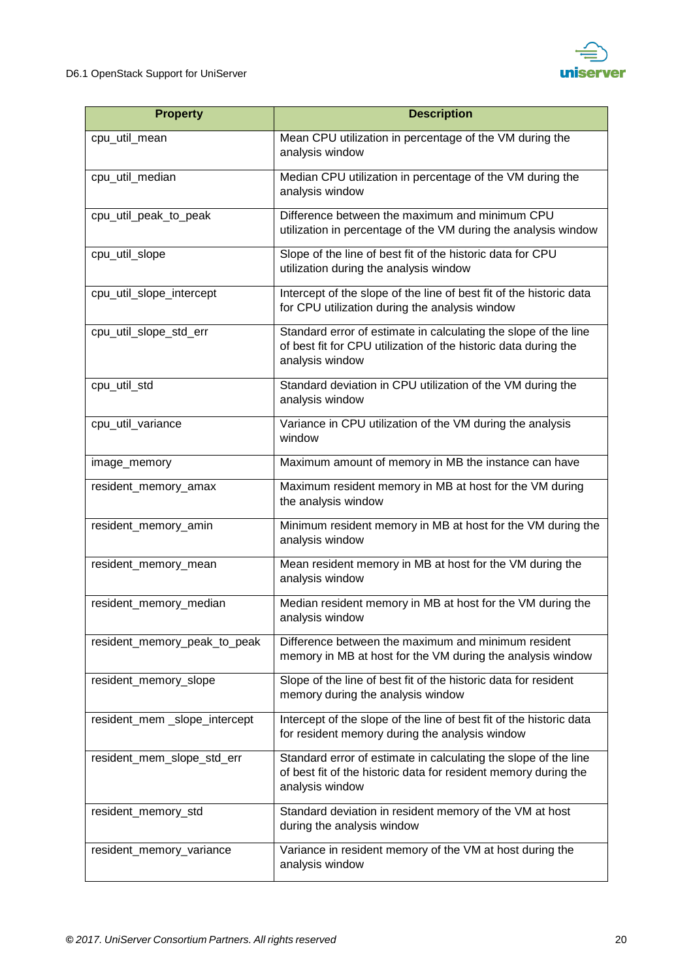

| <b>Property</b>               | <b>Description</b>                                                                                                                                    |
|-------------------------------|-------------------------------------------------------------------------------------------------------------------------------------------------------|
| cpu_util_mean                 | Mean CPU utilization in percentage of the VM during the<br>analysis window                                                                            |
| cpu util median               | Median CPU utilization in percentage of the VM during the<br>analysis window                                                                          |
| cpu_util_peak_to_peak         | Difference between the maximum and minimum CPU<br>utilization in percentage of the VM during the analysis window                                      |
| cpu_util_slope                | Slope of the line of best fit of the historic data for CPU<br>utilization during the analysis window                                                  |
| cpu_util_slope_intercept      | Intercept of the slope of the line of best fit of the historic data<br>for CPU utilization during the analysis window                                 |
| cpu_util_slope_std_err        | Standard error of estimate in calculating the slope of the line<br>of best fit for CPU utilization of the historic data during the<br>analysis window |
| cpu_util_std                  | Standard deviation in CPU utilization of the VM during the<br>analysis window                                                                         |
| cpu_util_variance             | Variance in CPU utilization of the VM during the analysis<br>window                                                                                   |
| image_memory                  | Maximum amount of memory in MB the instance can have                                                                                                  |
| resident_memory_amax          | Maximum resident memory in MB at host for the VM during<br>the analysis window                                                                        |
| resident_memory_amin          | Minimum resident memory in MB at host for the VM during the<br>analysis window                                                                        |
| resident_memory_mean          | Mean resident memory in MB at host for the VM during the<br>analysis window                                                                           |
| resident_memory_median        | Median resident memory in MB at host for the VM during the<br>analysis window                                                                         |
| resident_memory_peak_to_peak  | Difference between the maximum and minimum resident<br>memory in MB at host for the VM during the analysis window                                     |
| resident_memory_slope         | Slope of the line of best fit of the historic data for resident<br>memory during the analysis window                                                  |
| resident_mem _slope_intercept | Intercept of the slope of the line of best fit of the historic data<br>for resident memory during the analysis window                                 |
| resident_mem_slope_std_err    | Standard error of estimate in calculating the slope of the line<br>of best fit of the historic data for resident memory during the<br>analysis window |
| resident_memory_std           | Standard deviation in resident memory of the VM at host<br>during the analysis window                                                                 |
| resident_memory_variance      | Variance in resident memory of the VM at host during the<br>analysis window                                                                           |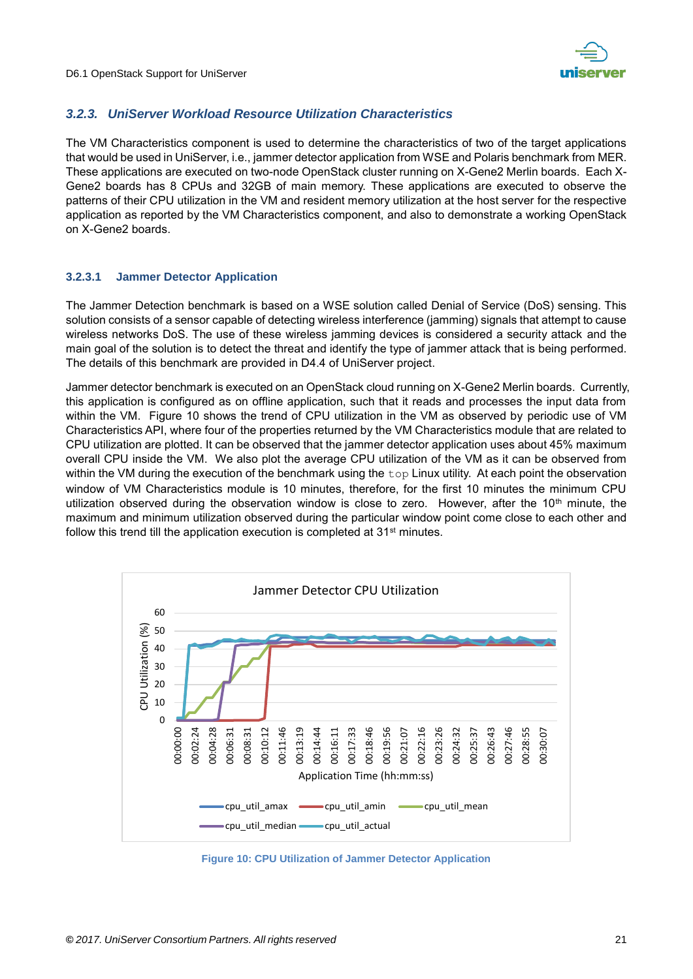

#### <span id="page-20-0"></span>*3.2.3. UniServer Workload Resource Utilization Characteristics*

The VM Characteristics component is used to determine the characteristics of two of the target applications that would be used in UniServer, i.e., jammer detector application from WSE and Polaris benchmark from MER. These applications are executed on two-node OpenStack cluster running on X-Gene2 Merlin boards. Each X-Gene2 boards has 8 CPUs and 32GB of main memory. These applications are executed to observe the patterns of their CPU utilization in the VM and resident memory utilization at the host server for the respective application as reported by the VM Characteristics component, and also to demonstrate a working OpenStack on X-Gene2 boards.

#### **3.2.3.1 Jammer Detector Application**

The Jammer Detection benchmark is based on a WSE solution called Denial of Service (DoS) sensing. This solution consists of a sensor capable of detecting wireless interference (jamming) signals that attempt to cause wireless networks DoS. The use of these wireless jamming devices is considered a security attack and the main goal of the solution is to detect the threat and identify the type of jammer attack that is being performed. The details of this benchmark are provided in D4.4 of UniServer project.

Jammer detector benchmark is executed on an OpenStack cloud running on X-Gene2 Merlin boards. Currently, this application is configured as on offline application, such that it reads and processes the input data from within the VM. [Figure 10](#page-20-1) shows the trend of CPU utilization in the VM as observed by periodic use of VM Characteristics API, where four of the properties returned by the VM Characteristics module that are related to CPU utilization are plotted. It can be observed that the jammer detector application uses about 45% maximum overall CPU inside the VM. We also plot the average CPU utilization of the VM as it can be observed from within the VM during the execution of the benchmark using the top Linux utility. At each point the observation window of VM Characteristics module is 10 minutes, therefore, for the first 10 minutes the minimum CPU utilization observed during the observation window is close to zero. However, after the 10<sup>th</sup> minute, the maximum and minimum utilization observed during the particular window point come close to each other and follow this trend till the application execution is completed at 31<sup>st</sup> minutes.



<span id="page-20-1"></span>**Figure 10: CPU Utilization of Jammer Detector Application**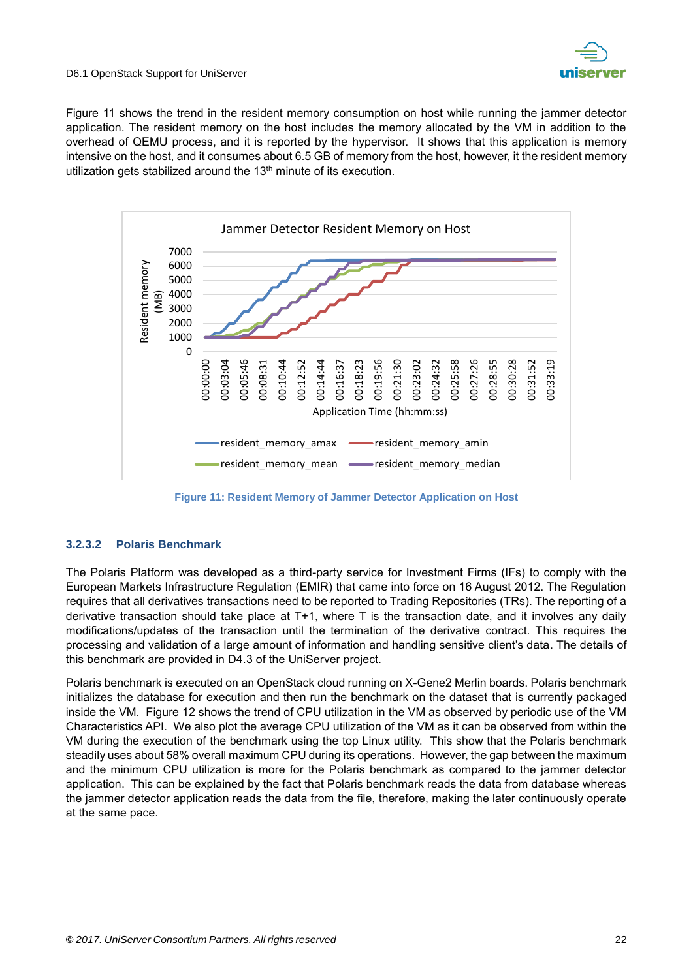

[Figure 11](#page-21-0) shows the trend in the resident memory consumption on host while running the jammer detector application. The resident memory on the host includes the memory allocated by the VM in addition to the overhead of QEMU process, and it is reported by the hypervisor. It shows that this application is memory intensive on the host, and it consumes about 6.5 GB of memory from the host, however, it the resident memory utilization gets stabilized around the 13<sup>th</sup> minute of its execution.



**Figure 11: Resident Memory of Jammer Detector Application on Host**

#### <span id="page-21-0"></span>**3.2.3.2 Polaris Benchmark**

The Polaris Platform was developed as a third-party service for Investment Firms (IFs) to comply with the European Markets Infrastructure Regulation (EMIR) that came into force on 16 August 2012. The Regulation requires that all derivatives transactions need to be reported to Trading Repositories (TRs). The reporting of a derivative transaction should take place at T+1, where T is the transaction date, and it involves any daily modifications/updates of the transaction until the termination of the derivative contract. This requires the processing and validation of a large amount of information and handling sensitive client's data. The details of this benchmark are provided in D4.3 of the UniServer project.

Polaris benchmark is executed on an OpenStack cloud running on X-Gene2 Merlin boards. Polaris benchmark initializes the database for execution and then run the benchmark on the dataset that is currently packaged inside the VM. [Figure 12](#page-22-0) shows the trend of CPU utilization in the VM as observed by periodic use of the VM Characteristics API. We also plot the average CPU utilization of the VM as it can be observed from within the VM during the execution of the benchmark using the top Linux utility. This show that the Polaris benchmark steadily uses about 58% overall maximum CPU during its operations. However, the gap between the maximum and the minimum CPU utilization is more for the Polaris benchmark as compared to the jammer detector application. This can be explained by the fact that Polaris benchmark reads the data from database whereas the jammer detector application reads the data from the file, therefore, making the later continuously operate at the same pace.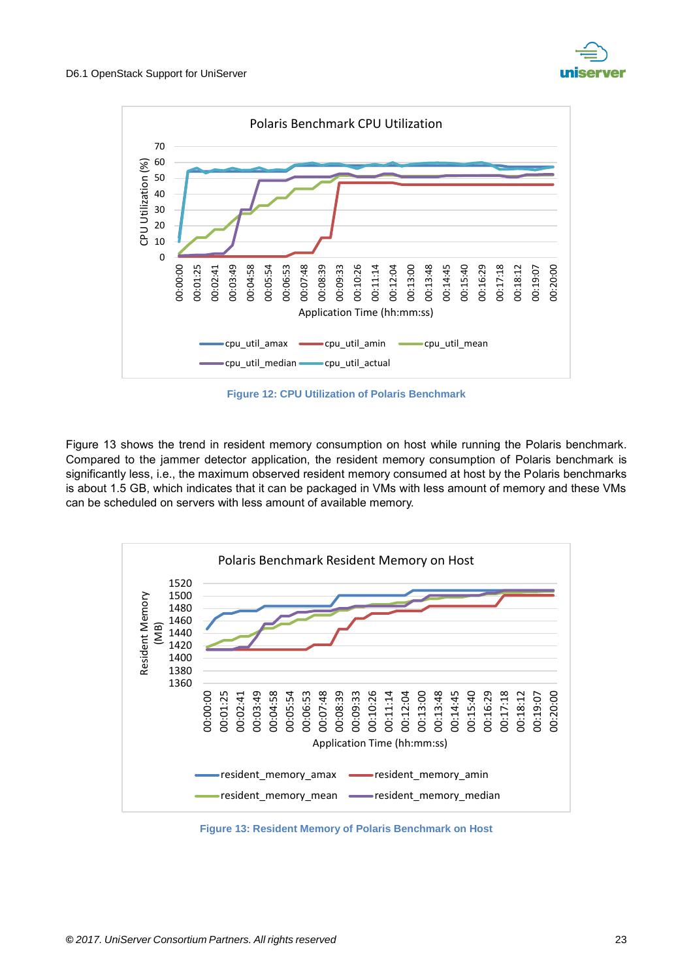



**Figure 12: CPU Utilization of Polaris Benchmark**

<span id="page-22-0"></span>[Figure 13](#page-22-1) shows the trend in resident memory consumption on host while running the Polaris benchmark. Compared to the jammer detector application, the resident memory consumption of Polaris benchmark is significantly less, i.e., the maximum observed resident memory consumed at host by the Polaris benchmarks is about 1.5 GB, which indicates that it can be packaged in VMs with less amount of memory and these VMs can be scheduled on servers with less amount of available memory.



<span id="page-22-1"></span>**Figure 13: Resident Memory of Polaris Benchmark on Host**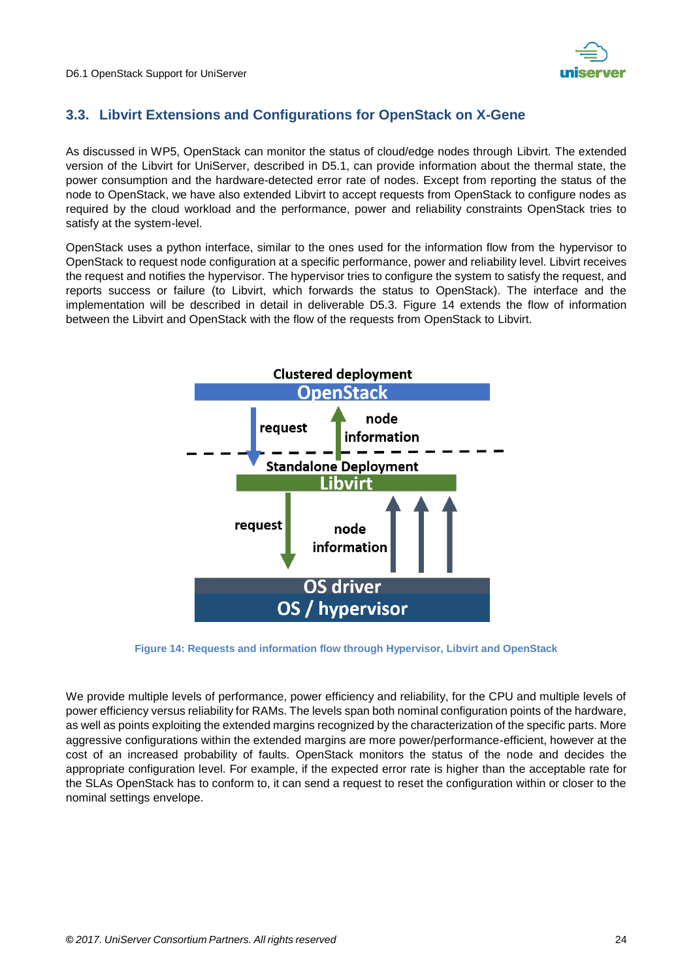

## <span id="page-23-0"></span>**3.3. Libvirt Extensions and Configurations for OpenStack on X-Gene**

As discussed in WP5, OpenStack can monitor the status of cloud/edge nodes through Libvirt. The extended version of the Libvirt for UniServer, described in D5.1, can provide information about the thermal state, the power consumption and the hardware-detected error rate of nodes. Except from reporting the status of the node to OpenStack, we have also extended Libvirt to accept requests from OpenStack to configure nodes as required by the cloud workload and the performance, power and reliability constraints OpenStack tries to satisfy at the system-level.

OpenStack uses a python interface, similar to the ones used for the information flow from the hypervisor to OpenStack to request node configuration at a specific performance, power and reliability level. Libvirt receives the request and notifies the hypervisor. The hypervisor tries to configure the system to satisfy the request, and reports success or failure (to Libvirt, which forwards the status to OpenStack). The interface and the implementation will be described in detail in deliverable D5.3. [Figure 14](#page-23-1) extends the flow of information between the Libvirt and OpenStack with the flow of the requests from OpenStack to Libvirt.



**Figure 14: Requests and information flow through Hypervisor, Libvirt and OpenStack**

<span id="page-23-1"></span>We provide multiple levels of performance, power efficiency and reliability, for the CPU and multiple levels of power efficiency versus reliability for RAMs. The levels span both nominal configuration points of the hardware, as well as points exploiting the extended margins recognized by the characterization of the specific parts. More aggressive configurations within the extended margins are more power/performance-efficient, however at the cost of an increased probability of faults. OpenStack monitors the status of the node and decides the appropriate configuration level. For example, if the expected error rate is higher than the acceptable rate for the SLAs OpenStack has to conform to, it can send a request to reset the configuration within or closer to the nominal settings envelope.